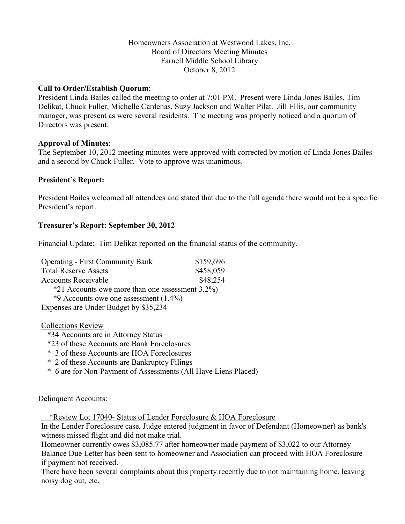#### Homeowners Association at Westwood Lakes, Inc. Board of Directors Meeting Minutes Farnell Middle School Library October 8, 2012

#### **Call to Order/Establish Quorum**:

President Linda Bailes called the meeting to order at 7:01 PM. Present were Linda Jones Bailes, Tim Delikat, Chuck Fuller, Michelle Cardenas, Suzy Jackson and Walter Pilat. Jill Ellis, our community manager, was present as were several residents. The meeting was properly noticed and a quorum of Directors was present.

#### **Approval of Minutes**:

The September 10, 2012 meeting minutes were approved with corrected by motion of Linda Jones Bailes and a second by Chuck Fuller. Vote to approve was unanimous.

#### **President's Report:**

President Bailes welcomed all attendees and stated that due to the full agenda there would not be a specific President's report.

## **Treasurer's Report: September 30, 2012**

Financial Update: Tim Delikat reported on the financial status of the community.

| <b>Operating - First Community Bank</b>         | \$159,696 |
|-------------------------------------------------|-----------|
| <b>Total Reserve Assets</b>                     | \$458,059 |
| <b>Accounts Receivable</b>                      | \$48,254  |
| *21 Accounts owe more than one assessment 3.2%) |           |
| *9 Accounts owe one assessment $(1.4\%)$        |           |
| Expenses are Under Budget by \$35,234           |           |

Collections Review

- \*34 Accounts are in Attorney Status
- \*23 of these Accounts are Bank Foreclosures
- \* 3 of these Accounts are HOA Foreclosures
- \* 2 of these Accounts are Bankruptcy Filings
- \* 6 are for Non-Payment of Assessments (All Have Liens Placed)

Delinquent Accounts:

\*Review Lot 17040- Status of Lender Foreclosure & HOA Foreclosure

In the Lender Foreclosure case, Judge entered judgment in favor of Defendant (Homeowner) as bank's witness missed flight and did not make trial.

Homeowner currently owes \$3,085.77 after homeowner made payment of \$3,022 to our Attorney Balance Due Letter has been sent to homeowner and Association can proceed with HOA Foreclosure if payment not received.

There have been several complaints about this property recently due to not maintaining home, leaving noisy dog out, etc.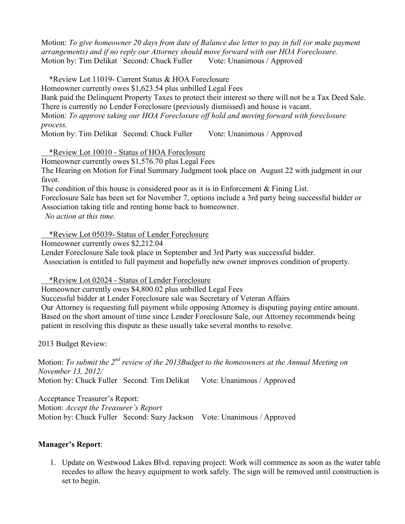Motion: *To give homeowner 20 days from date of Balance due letter to pay in full (or make payment arrangements) and if no reply our Attorney should move forward with our HOA Foreclosure.* Motion by: Tim Delikat Second: Chuck Fuller Vote: Unanimous / Approved

\*Review Lot 11019- Current Status & HOA Foreclosure

Homeowner currently owes \$1,623.54 plus unbilled Legal Fees

Bank paid the Delinquent Property Taxes to protect their interest so there will not be a Tax Deed Sale. There is currently no Lender Foreclosure (previously dismissed) and house is vacant.

Motion: *To approve taking our HOA Foreclosure off hold and moving forward with foreclosure process.*

Motion by: Tim Delikat Second: Chuck Fuller Vote: Unanimous / Approved

\*Review Lot 10010 - Status of HOA Foreclosure

Homeowner currently owes \$1,576.70 plus Legal Fees

The Hearing on Motion for Final Summary Judgment took place on August 22 with judgment in our favor.

The condition of this house is considered poor as it is in Enforcement & Fining List.

Foreclosure Sale has been set for November 7, options include a 3rd party being successful bidder or Association taking title and renting home back to homeowner.

*No action at this time.*

\*Review Lot 05039- Status of Lender Foreclosure

Homeowner currently owes \$2,212.04

Lender Foreclosure Sale took place in September and 3rd Party was successful bidder.

Association is entitled to full payment and hopefully new owner improves condition of property.

\*Review Lot 02024 - Status of Lender Foreclosure

Homeowner currently owes \$4,800.02 plus unbilled Legal Fees

Successful bidder at Lender Foreclosure sale was Secretary of Veteran Affairs

Our Attorney is requesting full payment while opposing Attorney is disputing paying entire amount. Based on the short amount of time since Lender Foreclosure Sale, our Attorney recommends being patient in resolving this dispute as these usually take several months to resolve.

2013 Budget Review:

Motion: *To submit the 2nd review of the 2013Budget to the homeowners at the Annual Meeting on November 13, 2012/*  Motion by: Chuck Fuller Second: Tim Delikat Vote: Unanimous / Approved

Acceptance Treasurer's Report: Motion: *Accept the Treasurer's Report*  Motion by: Chuck Fuller Second: Suzy Jackson Vote: Unanimous / Approved

## **Manager's Report**:

1. Update on Westwood Lakes Blvd. repaving project: Work will commence as soon as the water table recedes to allow the heavy equipment to work safely. The sign will be removed until construction is set to begin.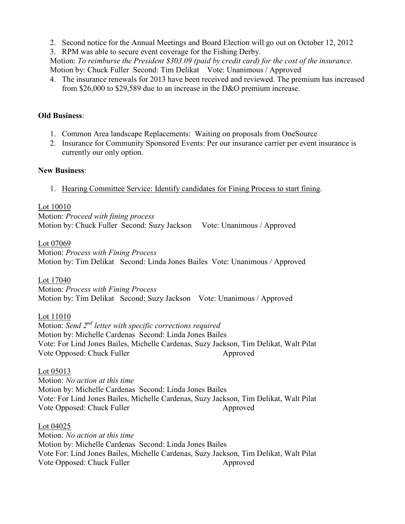- 2. Second notice for the Annual Meetings and Board Election will go out on October 12, 2012
- 3. RPM was able to secure event coverage for the Fishing Derby.

Motion: *To reimburse the President \$303.09 (paid by credit card) for the cost of the insurance*. Motion by: Chuck Fuller Second: Tim Delikat Vote: Unanimous / Approved

4. The insurance renewals for 2013 have been received and reviewed. The premium has increased from \$26,000 to \$29,589 due to an increase in the D&O premium increase.

#### **Old Business**:

- 1. Common Area landscape Replacements: Waiting on proposals from OneSource
- 2. Insurance for Community Sponsored Events: Per our insurance carrier per event insurance is currently our only option.

## **New Business**:

1. Hearing Committee Service: Identify candidates for Fining Process to start fining.

## Lot 10010

Motion: *Proceed with fining process*  Motion by: Chuck Fuller Second: Suzy Jackson Vote: Unanimous / Approved

## Lot 07069

Motion: *Process with Fining Process* Motion by: Tim Delikat Second: Linda Jones Bailes Vote: Unanimous / Approved

## Lot 17040

Motion: *Process with Fining Process* Motion by: Tim Delikat Second: Suzy Jackson Vote: Unanimous / Approved

# Lot 11010

Motion: *Send 2nd letter with specific corrections required* Motion by: Michelle Cardenas Second: Linda Jones Bailes Vote: For Lind Jones Bailes, Michelle Cardenas, Suzy Jackson, Tim Delikat, Walt Pilat Vote Opposed: Chuck Fuller

## Lot 05013

Motion: *No action at this time* Motion by: Michelle Cardenas Second: Linda Jones Bailes Vote: For Lind Jones Bailes, Michelle Cardenas, Suzy Jackson, Tim Delikat, Walt Pilat Vote Opposed: Chuck Fuller Approved

## Lot 04025

Motion: *No action at this time* Motion by: Michelle Cardenas Second: Linda Jones Bailes Vote For: Lind Jones Bailes, Michelle Cardenas, Suzy Jackson, Tim Delikat, Walt Pilat Vote Opposed: Chuck Fuller Approved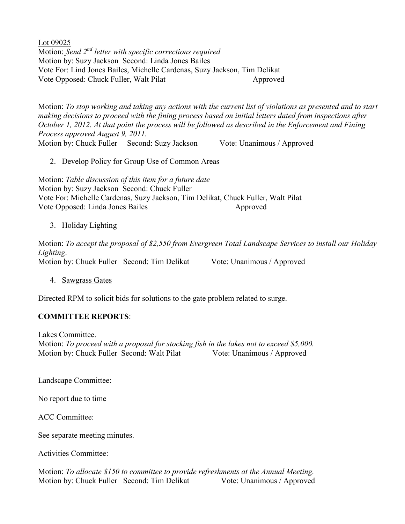Lot 09025 Motion: *Send 2nd letter with specific corrections required* Motion by: Suzy Jackson Second: Linda Jones Bailes Vote For: Lind Jones Bailes, Michelle Cardenas, Suzy Jackson, Tim Delikat Vote Opposed: Chuck Fuller, Walt Pilat Approved

Motion: *To stop working and taking any actions with the current list of violations as presented and to start making decisions to proceed with the fining process based on initial letters dated from inspections after October 1, 2012. At that point the process will be followed as described in the Enforcement and Fining Process approved August 9, 2011.* 

Motion by: Chuck Fuller Second: Suzy Jackson Vote: Unanimous / Approved

## 2. Develop Policy for Group Use of Common Areas

Motion: *Table discussion of this item for a future date*  Motion by: Suzy Jackson Second: Chuck Fuller Vote For: Michelle Cardenas, Suzy Jackson, Tim Delikat, Chuck Fuller, Walt Pilat Vote Opposed: Linda Jones Bailes Approved

## 3. Holiday Lighting

Motion: *To accept the proposal of \$2,550 from Evergreen Total Landscape Services to install our Holiday Lighting*. Motion by: Chuck Fuller Second: Tim Delikat Vote: Unanimous / Approved

## 4. Sawgrass Gates

Directed RPM to solicit bids for solutions to the gate problem related to surge.

# **COMMITTEE REPORTS**:

Lakes Committee.

Motion: *To proceed with a proposal for stocking fish in the lakes not to exceed \$5,000.*  Motion by: Chuck Fuller Second: Walt Pilat Vote: Unanimous / Approved

Landscape Committee:

No report due to time

ACC Committee:

See separate meeting minutes.

Activities Committee:

Motion: *To allocate \$150 to committee to provide refreshments at the Annual Meeting.* Motion by: Chuck Fuller Second: Tim Delikat Vote: Unanimous / Approved